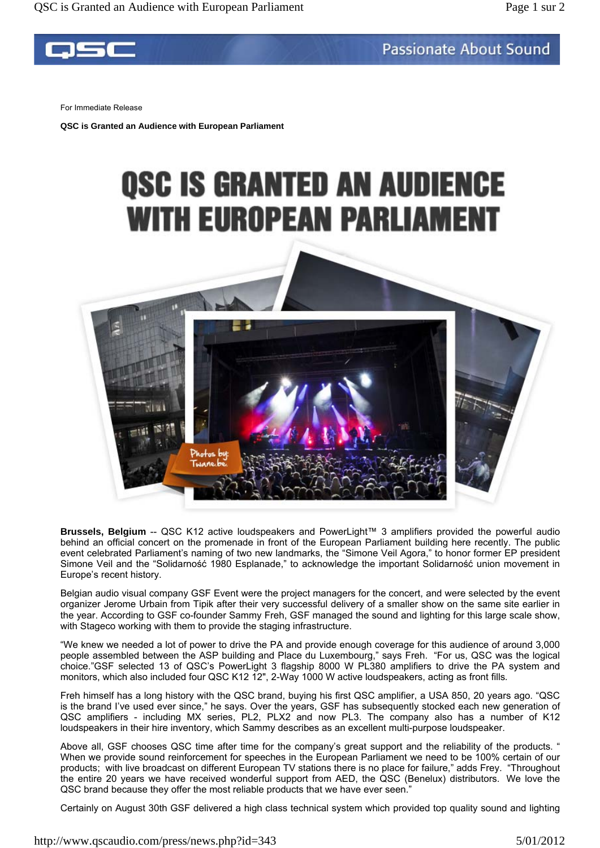## **Passionate About Sound**

For Immediate Release

**QSC is Granted an Audience with European Parliament** 

## **QSC IS GRANTED AN AUDIENCE WITH EUROPEAN PARLIAMENT**



**Brussels, Belgium** -- QSC K12 active loudspeakers and PowerLight™ 3 amplifiers provided the powerful audio behind an official concert on the promenade in front of the European Parliament building here recently. The public event celebrated Parliament's naming of two new landmarks, the "Simone Veil Agora," to honor former EP president Simone Veil and the "Solidarność 1980 Esplanade," to acknowledge the important Solidarność union movement in Europe's recent history.

Belgian audio visual company GSF Event were the project managers for the concert, and were selected by the event organizer Jerome Urbain from Tipik after their very successful delivery of a smaller show on the same site earlier in the year. According to GSF co-founder Sammy Freh, GSF managed the sound and lighting for this large scale show, with Stageco working with them to provide the staging infrastructure.

"We knew we needed a lot of power to drive the PA and provide enough coverage for this audience of around 3,000 people assembled between the ASP building and Place du Luxembourg," says Freh. "For us, QSC was the logical choice."GSF selected 13 of QSC's PowerLight 3 flagship 8000 W PL380 amplifiers to drive the PA system and monitors, which also included four QSC K12 12", 2-Way 1000 W active loudspeakers, acting as front fills*.*

Freh himself has a long history with the QSC brand, buying his first QSC amplifier, a USA 850, 20 years ago. "QSC is the brand I've used ever since," he says. Over the years, GSF has subsequently stocked each new generation of QSC amplifiers - including MX series, PL2, PLX2 and now PL3. The company also has a number of K12 loudspeakers in their hire inventory, which Sammy describes as an excellent multi-purpose loudspeaker.

Above all, GSF chooses QSC time after time for the company's great support and the reliability of the products. " When we provide sound reinforcement for speeches in the European Parliament we need to be 100% certain of our products; with live broadcast on different European TV stations there is no place for failure," adds Frey. "Throughout the entire 20 years we have received wonderful support from AED, the QSC (Benelux) distributors. We love the QSC brand because they offer the most reliable products that we have ever seen."

Certainly on August 30th GSF delivered a high class technical system which provided top quality sound and lighting